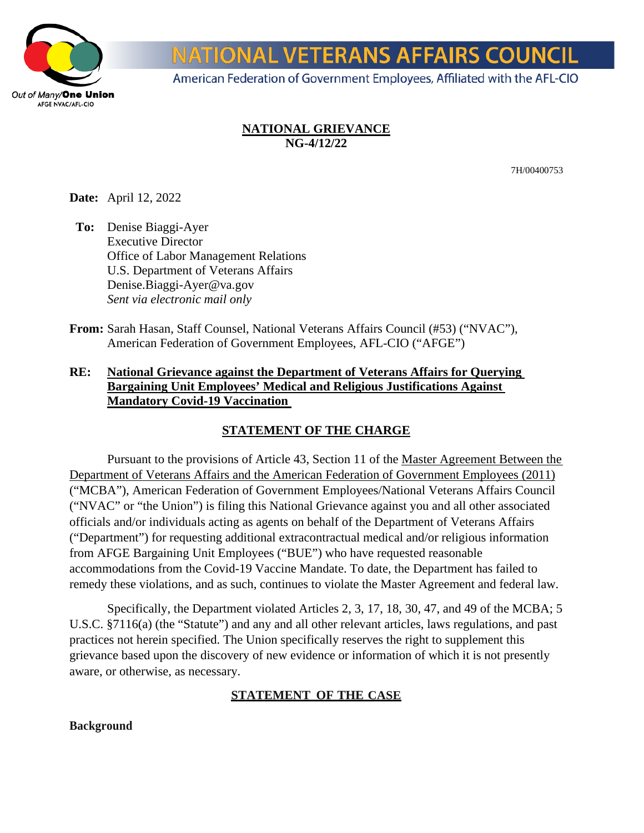

# **IONAL VETERANS AFFAIRS COUNCIL**

American Federation of Government Employees, Affiliated with the AFL-CIO

## **NATIONAL GRIEVANCE NG-4/12/22**

7H/00400753

**Date:** April 12, 2022

**To:** Denise Biaggi-Ayer Executive Director Office of Labor Management Relations U.S. Department of Veterans Affairs Denise.Biaggi-Ayer@va.gov *Sent via electronic mail only* 

**From:** Sarah Hasan, Staff Counsel, National Veterans Affairs Council (#53) ("NVAC"), American Federation of Government Employees, AFL-CIO ("AFGE")

## **RE: National Grievance against the Department of Veterans Affairs for Querying Bargaining Unit Employees' Medical and Religious Justifications Against Mandatory Covid-19 Vaccination**

## **STATEMENT OF THE CHARGE**

Pursuant to the provisions of Article 43, Section 11 of the Master Agreement Between the Department of Veterans Affairs and the American Federation of Government Employees (2011) ("MCBA"), American Federation of Government Employees/National Veterans Affairs Council ("NVAC" or "the Union") is filing this National Grievance against you and all other associated officials and/or individuals acting as agents on behalf of the Department of Veterans Affairs ("Department") for requesting additional extracontractual medical and/or religious information from AFGE Bargaining Unit Employees ("BUE") who have requested reasonable accommodations from the Covid-19 Vaccine Mandate. To date, the Department has failed to remedy these violations, and as such, continues to violate the Master Agreement and federal law.

Specifically, the Department violated Articles 2, 3, 17, 18, 30, 47, and 49 of the MCBA; 5 U.S.C. §7116(a) (the "Statute") and any and all other relevant articles, laws regulations, and past practices not herein specified. The Union specifically reserves the right to supplement this grievance based upon the discovery of new evidence or information of which it is not presently aware, or otherwise, as necessary.

## **STATEMENT OF THE CASE**

#### **Background**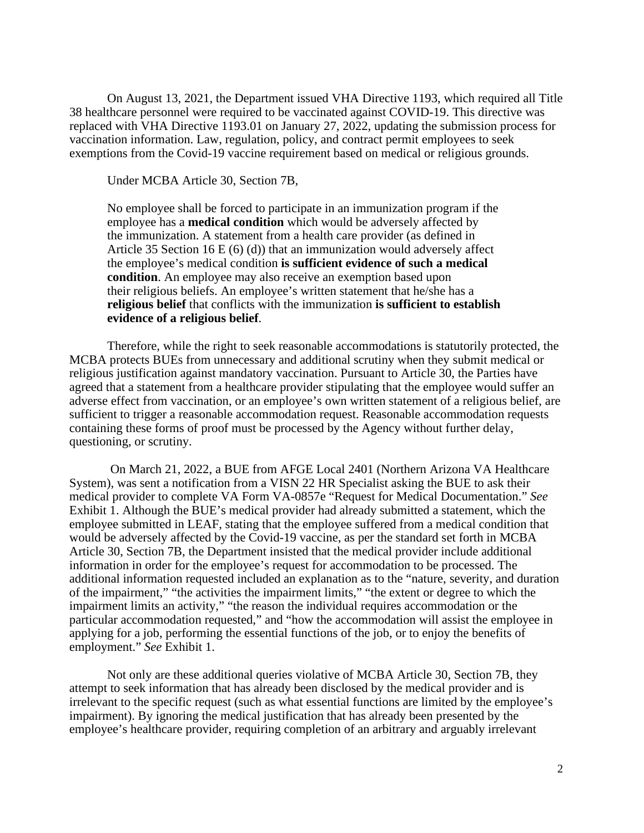On August 13, 2021, the Department issued VHA Directive 1193, which required all Title 38 healthcare personnel were required to be vaccinated against COVID-19. This directive was replaced with VHA Directive 1193.01 on January 27, 2022, updating the submission process for vaccination information. Law, regulation, policy, and contract permit employees to seek exemptions from the Covid-19 vaccine requirement based on medical or religious grounds.

Under MCBA Article 30, Section 7B,

No employee shall be forced to participate in an immunization program if the employee has a **medical condition** which would be adversely affected by the immunization. A statement from a health care provider (as defined in Article 35 Section 16 E (6) (d)) that an immunization would adversely affect the employee's medical condition **is sufficient evidence of such a medical condition**. An employee may also receive an exemption based upon their religious beliefs. An employee's written statement that he/she has a **religious belief** that conflicts with the immunization **is sufficient to establish evidence of a religious belief**.

Therefore, while the right to seek reasonable accommodations is statutorily protected, the MCBA protects BUEs from unnecessary and additional scrutiny when they submit medical or religious justification against mandatory vaccination. Pursuant to Article 30, the Parties have agreed that a statement from a healthcare provider stipulating that the employee would suffer an adverse effect from vaccination, or an employee's own written statement of a religious belief, are sufficient to trigger a reasonable accommodation request. Reasonable accommodation requests containing these forms of proof must be processed by the Agency without further delay, questioning, or scrutiny.

 On March 21, 2022, a BUE from AFGE Local 2401 (Northern Arizona VA Healthcare System), was sent a notification from a VISN 22 HR Specialist asking the BUE to ask their medical provider to complete VA Form VA-0857e "Request for Medical Documentation." *See* Exhibit 1. Although the BUE's medical provider had already submitted a statement, which the employee submitted in LEAF, stating that the employee suffered from a medical condition that would be adversely affected by the Covid-19 vaccine, as per the standard set forth in MCBA Article 30, Section 7B, the Department insisted that the medical provider include additional information in order for the employee's request for accommodation to be processed. The additional information requested included an explanation as to the "nature, severity, and duration of the impairment," "the activities the impairment limits," "the extent or degree to which the impairment limits an activity," "the reason the individual requires accommodation or the particular accommodation requested," and "how the accommodation will assist the employee in applying for a job, performing the essential functions of the job, or to enjoy the benefits of employment." *See* Exhibit 1.

Not only are these additional queries violative of MCBA Article 30, Section 7B, they attempt to seek information that has already been disclosed by the medical provider and is irrelevant to the specific request (such as what essential functions are limited by the employee's impairment). By ignoring the medical justification that has already been presented by the employee's healthcare provider, requiring completion of an arbitrary and arguably irrelevant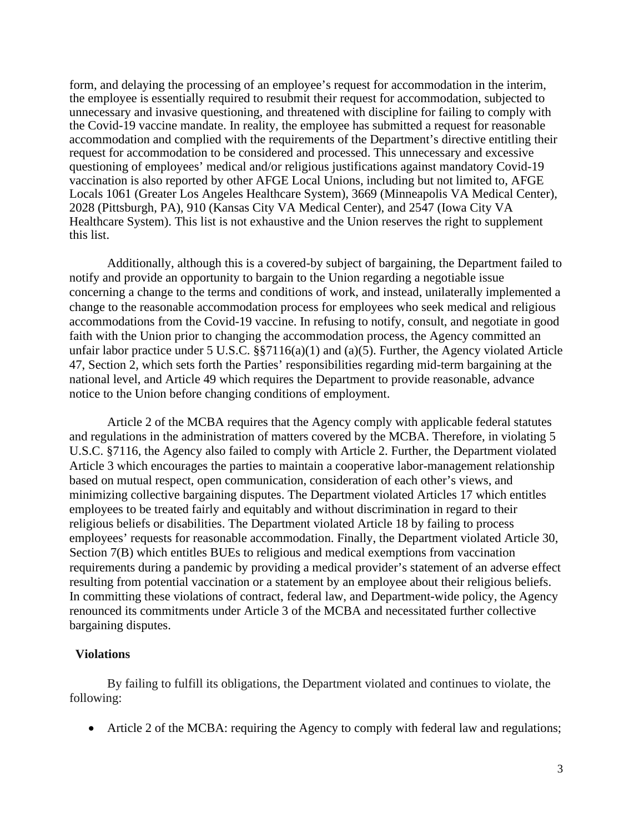form, and delaying the processing of an employee's request for accommodation in the interim, the employee is essentially required to resubmit their request for accommodation, subjected to unnecessary and invasive questioning, and threatened with discipline for failing to comply with the Covid-19 vaccine mandate. In reality, the employee has submitted a request for reasonable accommodation and complied with the requirements of the Department's directive entitling their request for accommodation to be considered and processed. This unnecessary and excessive questioning of employees' medical and/or religious justifications against mandatory Covid-19 vaccination is also reported by other AFGE Local Unions, including but not limited to, AFGE Locals 1061 (Greater Los Angeles Healthcare System), 3669 (Minneapolis VA Medical Center), 2028 (Pittsburgh, PA), 910 (Kansas City VA Medical Center), and 2547 (Iowa City VA Healthcare System). This list is not exhaustive and the Union reserves the right to supplement this list.

Additionally, although this is a covered-by subject of bargaining, the Department failed to notify and provide an opportunity to bargain to the Union regarding a negotiable issue concerning a change to the terms and conditions of work, and instead, unilaterally implemented a change to the reasonable accommodation process for employees who seek medical and religious accommodations from the Covid-19 vaccine. In refusing to notify, consult, and negotiate in good faith with the Union prior to changing the accommodation process, the Agency committed an unfair labor practice under 5 U.S.C. §§7116(a)(1) and (a)(5). Further, the Agency violated Article 47, Section 2, which sets forth the Parties' responsibilities regarding mid-term bargaining at the national level, and Article 49 which requires the Department to provide reasonable, advance notice to the Union before changing conditions of employment.

Article 2 of the MCBA requires that the Agency comply with applicable federal statutes and regulations in the administration of matters covered by the MCBA. Therefore, in violating 5 U.S.C. §7116, the Agency also failed to comply with Article 2. Further, the Department violated Article 3 which encourages the parties to maintain a cooperative labor-management relationship based on mutual respect, open communication, consideration of each other's views, and minimizing collective bargaining disputes. The Department violated Articles 17 which entitles employees to be treated fairly and equitably and without discrimination in regard to their religious beliefs or disabilities. The Department violated Article 18 by failing to process employees' requests for reasonable accommodation. Finally, the Department violated Article 30, Section 7(B) which entitles BUEs to religious and medical exemptions from vaccination requirements during a pandemic by providing a medical provider's statement of an adverse effect resulting from potential vaccination or a statement by an employee about their religious beliefs. In committing these violations of contract, federal law, and Department-wide policy, the Agency renounced its commitments under Article 3 of the MCBA and necessitated further collective bargaining disputes.

#### **Violations**

By failing to fulfill its obligations, the Department violated and continues to violate, the following:

• Article 2 of the MCBA: requiring the Agency to comply with federal law and regulations;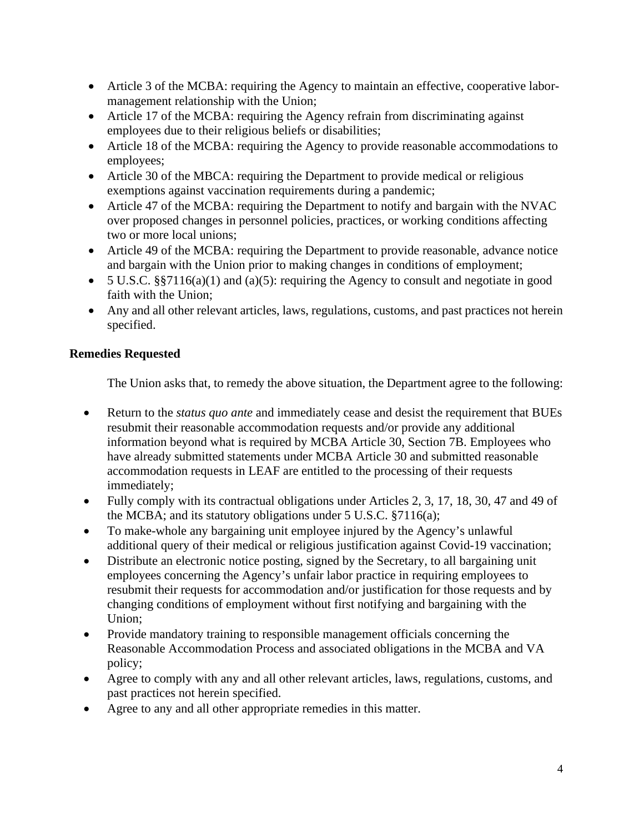- Article 3 of the MCBA: requiring the Agency to maintain an effective, cooperative labormanagement relationship with the Union;
- Article 17 of the MCBA: requiring the Agency refrain from discriminating against employees due to their religious beliefs or disabilities;
- Article 18 of the MCBA: requiring the Agency to provide reasonable accommodations to employees;
- Article 30 of the MBCA: requiring the Department to provide medical or religious exemptions against vaccination requirements during a pandemic;
- Article 47 of the MCBA: requiring the Department to notify and bargain with the NVAC over proposed changes in personnel policies, practices, or working conditions affecting two or more local unions;
- Article 49 of the MCBA: requiring the Department to provide reasonable, advance notice and bargain with the Union prior to making changes in conditions of employment;
- 5 U.S.C. §§7116(a)(1) and (a)(5): requiring the Agency to consult and negotiate in good faith with the Union;
- Any and all other relevant articles, laws, regulations, customs, and past practices not herein specified.

## **Remedies Requested**

The Union asks that, to remedy the above situation, the Department agree to the following:

- Return to the *status quo ante* and immediately cease and desist the requirement that BUEs resubmit their reasonable accommodation requests and/or provide any additional information beyond what is required by MCBA Article 30, Section 7B. Employees who have already submitted statements under MCBA Article 30 and submitted reasonable accommodation requests in LEAF are entitled to the processing of their requests immediately;
- Fully comply with its contractual obligations under Articles 2, 3, 17, 18, 30, 47 and 49 of the MCBA; and its statutory obligations under 5 U.S.C. §7116(a);
- To make-whole any bargaining unit employee injured by the Agency's unlawful additional query of their medical or religious justification against Covid-19 vaccination;
- Distribute an electronic notice posting, signed by the Secretary, to all bargaining unit employees concerning the Agency's unfair labor practice in requiring employees to resubmit their requests for accommodation and/or justification for those requests and by changing conditions of employment without first notifying and bargaining with the Union;
- Provide mandatory training to responsible management officials concerning the Reasonable Accommodation Process and associated obligations in the MCBA and VA policy;
- Agree to comply with any and all other relevant articles, laws, regulations, customs, and past practices not herein specified.
- Agree to any and all other appropriate remedies in this matter.